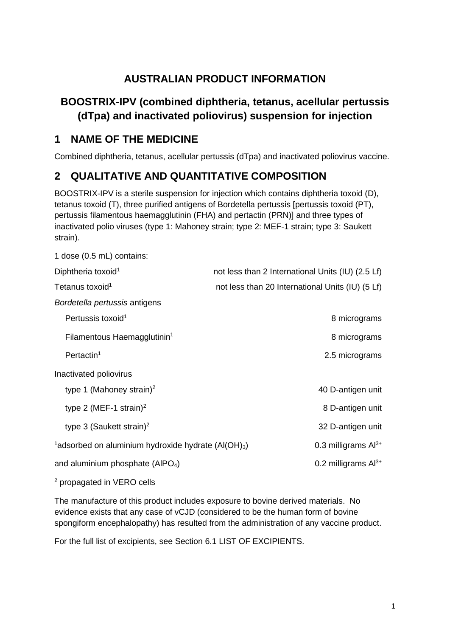# **AUSTRALIAN PRODUCT INFORMATION**

# **BOOSTRIX-IPV (combined diphtheria, tetanus, acellular pertussis (dTpa) and inactivated poliovirus) suspension for injection**

# **1 NAME OF THE MEDICINE**

Combined diphtheria, tetanus, acellular pertussis (dTpa) and inactivated poliovirus vaccine.

# **2 QUALITATIVE AND QUANTITATIVE COMPOSITION**

BOOSTRIX-IPV is a sterile suspension for injection which contains diphtheria toxoid (D), tetanus toxoid (T), three purified antigens of Bordetella pertussis [pertussis toxoid (PT), pertussis filamentous haemagglutinin (FHA) and pertactin (PRN)] and three types of inactivated polio viruses (type 1: Mahoney strain; type 2: MEF-1 strain; type 3: Saukett strain).

| 1 dose (0.5 mL) contains:                                                   |                                                   |
|-----------------------------------------------------------------------------|---------------------------------------------------|
| Diphtheria toxoid <sup>1</sup>                                              | not less than 2 International Units (IU) (2.5 Lf) |
| Tetanus toxoid <sup>1</sup>                                                 | not less than 20 International Units (IU) (5 Lf)  |
| Bordetella pertussis antigens                                               |                                                   |
| Pertussis toxoid <sup>1</sup>                                               | 8 micrograms                                      |
| Filamentous Haemagglutinin <sup>1</sup>                                     | 8 micrograms                                      |
| Pertactin <sup>1</sup>                                                      | 2.5 micrograms                                    |
| Inactivated poliovirus                                                      |                                                   |
| type 1 (Mahoney strain) <sup>2</sup>                                        | 40 D-antigen unit                                 |
| type 2 (MEF-1 strain) <sup>2</sup>                                          | 8 D-antigen unit                                  |
| type 3 (Saukett strain) <sup>2</sup>                                        | 32 D-antigen unit                                 |
| <sup>1</sup> adsorbed on aluminium hydroxide hydrate (Al(OH) <sub>3</sub> ) | 0.3 milligrams $Al^{3+}$                          |
| and aluminium phosphate (AIPO <sub>4</sub> )                                | 0.2 milligrams $Al^{3+}$                          |
|                                                                             |                                                   |

<sup>2</sup> propagated in VERO cells

The manufacture of this product includes exposure to bovine derived materials. No evidence exists that any case of vCJD (considered to be the human form of bovine spongiform encephalopathy) has resulted from the administration of any vaccine product.

For the full list of excipients, see Section 6.1 LIST OF EXCIPIENTS.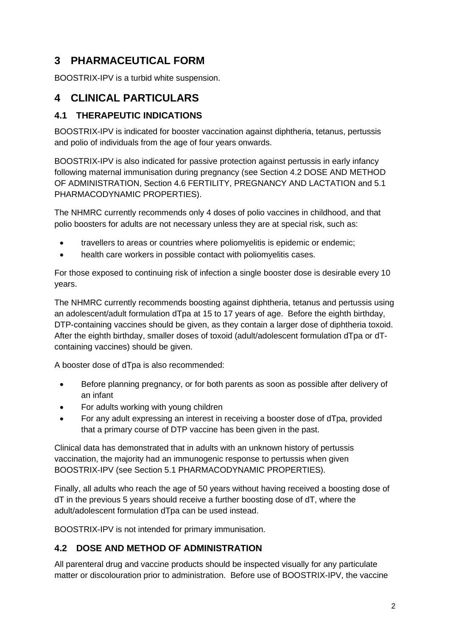# **3 PHARMACEUTICAL FORM**

BOOSTRIX-IPV is a turbid white suspension.

# **4 CLINICAL PARTICULARS**

## **4.1 THERAPEUTIC INDICATIONS**

BOOSTRIX-IPV is indicated for booster vaccination against diphtheria, tetanus, pertussis and polio of individuals from the age of four years onwards.

BOOSTRIX-IPV is also indicated for passive protection against pertussis in early infancy following maternal immunisation during pregnancy (see Section 4.2 DOSE AND METHOD OF ADMINISTRATION, Section 4.6 FERTILITY, PREGNANCY AND LACTATION and 5.1 PHARMACODYNAMIC PROPERTIES).

The NHMRC currently recommends only 4 doses of polio vaccines in childhood, and that polio boosters for adults are not necessary unless they are at special risk, such as:

- travellers to areas or countries where poliomyelitis is epidemic or endemic;
- health care workers in possible contact with poliomyelitis cases.

For those exposed to continuing risk of infection a single booster dose is desirable every 10 years.

The NHMRC currently recommends boosting against diphtheria, tetanus and pertussis using an adolescent/adult formulation dTpa at 15 to 17 years of age. Before the eighth birthday, DTP-containing vaccines should be given, as they contain a larger dose of diphtheria toxoid. After the eighth birthday, smaller doses of toxoid (adult/adolescent formulation dTpa or dTcontaining vaccines) should be given.

A booster dose of dTpa is also recommended:

- Before planning pregnancy, or for both parents as soon as possible after delivery of an infant
- For adults working with young children
- For any adult expressing an interest in receiving a booster dose of dTpa, provided that a primary course of DTP vaccine has been given in the past.

Clinical data has demonstrated that in adults with an unknown history of pertussis vaccination, the majority had an immunogenic response to pertussis when given BOOSTRIX-IPV (see Section 5.1 PHARMACODYNAMIC PROPERTIES).

Finally, all adults who reach the age of 50 years without having received a boosting dose of dT in the previous 5 years should receive a further boosting dose of dT, where the adult/adolescent formulation dTpa can be used instead.

BOOSTRIX-IPV is not intended for primary immunisation.

## **4.2 DOSE AND METHOD OF ADMINISTRATION**

All parenteral drug and vaccine products should be inspected visually for any particulate matter or discolouration prior to administration. Before use of BOOSTRIX-IPV, the vaccine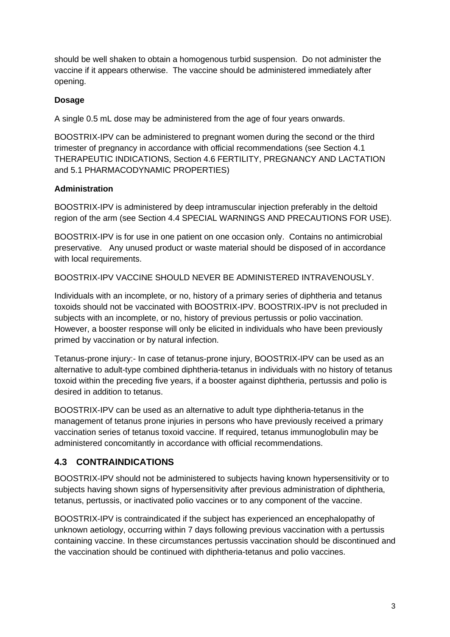should be well shaken to obtain a homogenous turbid suspension. Do not administer the vaccine if it appears otherwise. The vaccine should be administered immediately after opening.

### **Dosage**

A single 0.5 mL dose may be administered from the age of four years onwards.

BOOSTRIX-IPV can be administered to pregnant women during the second or the third trimester of pregnancy in accordance with official recommendations (see Section 4.1 THERAPEUTIC INDICATIONS, Section 4.6 FERTILITY, PREGNANCY AND LACTATION and 5.1 PHARMACODYNAMIC PROPERTIES)

#### **Administration**

BOOSTRIX-IPV is administered by deep intramuscular injection preferably in the deltoid region of the arm (see Section 4.4 SPECIAL WARNINGS AND PRECAUTIONS FOR USE).

BOOSTRIX-IPV is for use in one patient on one occasion only. Contains no antimicrobial preservative. Any unused product or waste material should be disposed of in accordance with local requirements.

BOOSTRIX-IPV VACCINE SHOULD NEVER BE ADMINISTERED INTRAVENOUSLY.

Individuals with an incomplete, or no, history of a primary series of diphtheria and tetanus toxoids should not be vaccinated with BOOSTRIX-IPV. BOOSTRIX-IPV is not precluded in subjects with an incomplete, or no, history of previous pertussis or polio vaccination. However, a booster response will only be elicited in individuals who have been previously primed by vaccination or by natural infection.

Tetanus-prone injury:- In case of tetanus-prone injury, BOOSTRIX-IPV can be used as an alternative to adult-type combined diphtheria-tetanus in individuals with no history of tetanus toxoid within the preceding five years, if a booster against diphtheria, pertussis and polio is desired in addition to tetanus.

BOOSTRIX-IPV can be used as an alternative to adult type diphtheria-tetanus in the management of tetanus prone injuries in persons who have previously received a primary vaccination series of tetanus toxoid vaccine. If required, tetanus immunoglobulin may be administered concomitantly in accordance with official recommendations.

## **4.3 CONTRAINDICATIONS**

BOOSTRIX-IPV should not be administered to subjects having known hypersensitivity or to subjects having shown signs of hypersensitivity after previous administration of diphtheria, tetanus, pertussis, or inactivated polio vaccines or to any component of the vaccine.

BOOSTRIX-IPV is contraindicated if the subject has experienced an encephalopathy of unknown aetiology, occurring within 7 days following previous vaccination with a pertussis containing vaccine. In these circumstances pertussis vaccination should be discontinued and the vaccination should be continued with diphtheria-tetanus and polio vaccines.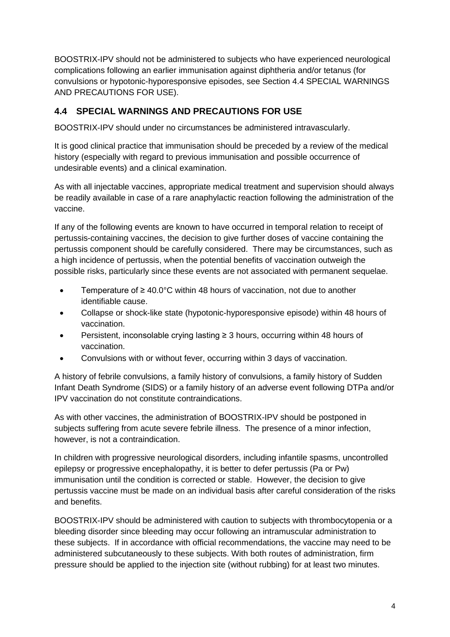BOOSTRIX-IPV should not be administered to subjects who have experienced neurological complications following an earlier immunisation against diphtheria and/or tetanus (for convulsions or hypotonic-hyporesponsive episodes, see Section 4.4 SPECIAL WARNINGS AND PRECAUTIONS FOR USE).

## **4.4 SPECIAL WARNINGS AND PRECAUTIONS FOR USE**

BOOSTRIX-IPV should under no circumstances be administered intravascularly.

It is good clinical practice that immunisation should be preceded by a review of the medical history (especially with regard to previous immunisation and possible occurrence of undesirable events) and a clinical examination.

As with all injectable vaccines, appropriate medical treatment and supervision should always be readily available in case of a rare anaphylactic reaction following the administration of the vaccine.

If any of the following events are known to have occurred in temporal relation to receipt of pertussis-containing vaccines, the decision to give further doses of vaccine containing the pertussis component should be carefully considered. There may be circumstances, such as a high incidence of pertussis, when the potential benefits of vaccination outweigh the possible risks, particularly since these events are not associated with permanent sequelae.

- Temperature of  $\geq 40.0$ °C within 48 hours of vaccination, not due to another identifiable cause.
- Collapse or shock-like state (hypotonic-hyporesponsive episode) within 48 hours of vaccination.
- Persistent, inconsolable crying lasting  $\geq$  3 hours, occurring within 48 hours of vaccination.
- Convulsions with or without fever, occurring within 3 days of vaccination.

A history of febrile convulsions, a family history of convulsions, a family history of Sudden Infant Death Syndrome (SIDS) or a family history of an adverse event following DTPa and/or IPV vaccination do not constitute contraindications.

As with other vaccines, the administration of BOOSTRIX-IPV should be postponed in subjects suffering from acute severe febrile illness. The presence of a minor infection, however, is not a contraindication.

In children with progressive neurological disorders, including infantile spasms, uncontrolled epilepsy or progressive encephalopathy, it is better to defer pertussis (Pa or Pw) immunisation until the condition is corrected or stable. However, the decision to give pertussis vaccine must be made on an individual basis after careful consideration of the risks and benefits.

BOOSTRIX-IPV should be administered with caution to subjects with thrombocytopenia or a bleeding disorder since bleeding may occur following an intramuscular administration to these subjects. If in accordance with official recommendations, the vaccine may need to be administered subcutaneously to these subjects. With both routes of administration, firm pressure should be applied to the injection site (without rubbing) for at least two minutes.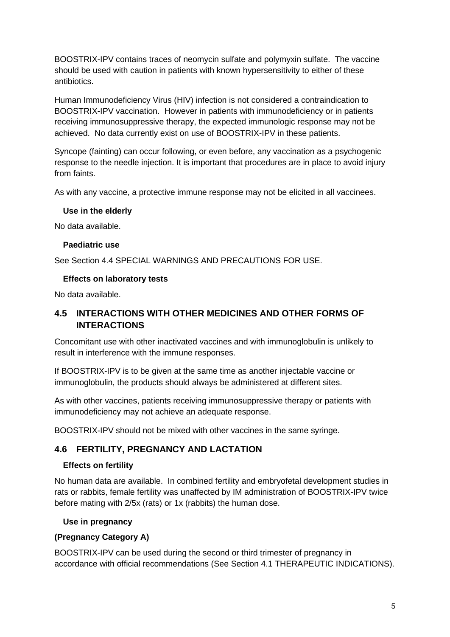BOOSTRIX-IPV contains traces of neomycin sulfate and polymyxin sulfate. The vaccine should be used with caution in patients with known hypersensitivity to either of these antibiotics.

Human Immunodeficiency Virus (HIV) infection is not considered a contraindication to BOOSTRIX-IPV vaccination. However in patients with immunodeficiency or in patients receiving immunosuppressive therapy, the expected immunologic response may not be achieved. No data currently exist on use of BOOSTRIX-IPV in these patients.

Syncope (fainting) can occur following, or even before, any vaccination as a psychogenic response to the needle injection. It is important that procedures are in place to avoid injury from faints.

As with any vaccine, a protective immune response may not be elicited in all vaccinees.

#### **Use in the elderly**

No data available.

#### **Paediatric use**

See Section 4.4 SPECIAL WARNINGS AND PRECAUTIONS FOR USE.

#### **Effects on laboratory tests**

No data available.

## **4.5 INTERACTIONS WITH OTHER MEDICINES AND OTHER FORMS OF INTERACTIONS**

Concomitant use with other inactivated vaccines and with immunoglobulin is unlikely to result in interference with the immune responses.

If BOOSTRIX-IPV is to be given at the same time as another injectable vaccine or immunoglobulin, the products should always be administered at different sites.

As with other vaccines, patients receiving immunosuppressive therapy or patients with immunodeficiency may not achieve an adequate response.

BOOSTRIX-IPV should not be mixed with other vaccines in the same syringe.

## **4.6 FERTILITY, PREGNANCY AND LACTATION**

#### **Effects on fertility**

No human data are available. In combined fertility and embryofetal development studies in rats or rabbits, female fertility was unaffected by IM administration of BOOSTRIX-IPV twice before mating with 2/5x (rats) or 1x (rabbits) the human dose.

#### **Use in pregnancy**

#### **(Pregnancy Category A)**

BOOSTRIX-IPV can be used during the second or third trimester of pregnancy in accordance with official recommendations (See Section 4.1 THERAPEUTIC INDICATIONS).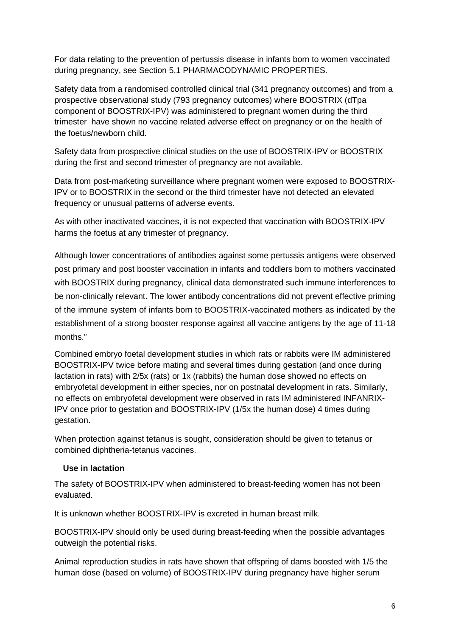For data relating to the prevention of pertussis disease in infants born to women vaccinated during pregnancy, see Section 5.1 PHARMACODYNAMIC PROPERTIES.

Safety data from a randomised controlled clinical trial (341 pregnancy outcomes) and from a prospective observational study (793 pregnancy outcomes) where BOOSTRIX (dTpa component of BOOSTRIX-IPV) was administered to pregnant women during the third trimester have shown no vaccine related adverse effect on pregnancy or on the health of the foetus/newborn child.

Safety data from prospective clinical studies on the use of BOOSTRIX-IPV or BOOSTRIX during the first and second trimester of pregnancy are not available.

Data from post-marketing surveillance where pregnant women were exposed to BOOSTRIX-IPV or to BOOSTRIX in the second or the third trimester have not detected an elevated frequency or unusual patterns of adverse events.

As with other inactivated vaccines, it is not expected that vaccination with BOOSTRIX-IPV harms the foetus at any trimester of pregnancy.

Although lower concentrations of antibodies against some pertussis antigens were observed post primary and post booster vaccination in infants and toddlers born to mothers vaccinated with BOOSTRIX during pregnancy, clinical data demonstrated such immune interferences to be non-clinically relevant. The lower antibody concentrations did not prevent effective priming of the immune system of infants born to BOOSTRIX-vaccinated mothers as indicated by the establishment of a strong booster response against all vaccine antigens by the age of 11-18 months."

Combined embryo foetal development studies in which rats or rabbits were IM administered BOOSTRIX-IPV twice before mating and several times during gestation (and once during lactation in rats) with 2/5x (rats) or 1x (rabbits) the human dose showed no effects on embryofetal development in either species, nor on postnatal development in rats. Similarly, no effects on embryofetal development were observed in rats IM administered INFANRIX-IPV once prior to gestation and BOOSTRIX-IPV (1/5x the human dose) 4 times during gestation.

When protection against tetanus is sought, consideration should be given to tetanus or combined diphtheria-tetanus vaccines.

#### **Use in lactation**

The safety of BOOSTRIX-IPV when administered to breast-feeding women has not been evaluated.

It is unknown whether BOOSTRIX-IPV is excreted in human breast milk.

BOOSTRIX-IPV should only be used during breast-feeding when the possible advantages outweigh the potential risks.

Animal reproduction studies in rats have shown that offspring of dams boosted with 1/5 the human dose (based on volume) of BOOSTRIX-IPV during pregnancy have higher serum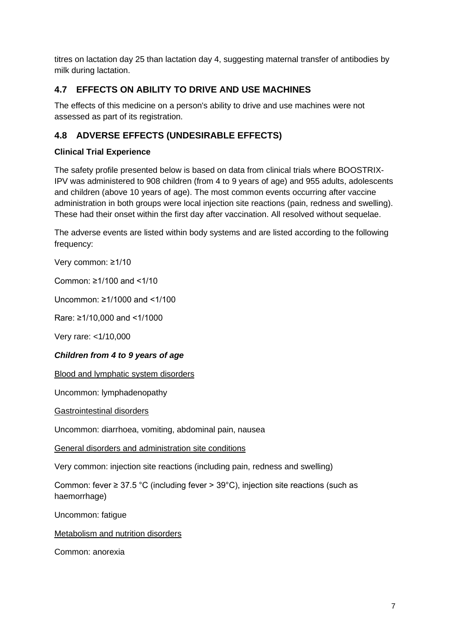titres on lactation day 25 than lactation day 4, suggesting maternal transfer of antibodies by milk during lactation.

## **4.7 EFFECTS ON ABILITY TO DRIVE AND USE MACHINES**

The effects of this medicine on a person's ability to drive and use machines were not assessed as part of its registration.

## **4.8 ADVERSE EFFECTS (UNDESIRABLE EFFECTS)**

## **Clinical Trial Experience**

The safety profile presented below is based on data from clinical trials where BOOSTRIX-IPV was administered to 908 children (from 4 to 9 years of age) and 955 adults, adolescents and children (above 10 years of age). The most common events occurring after vaccine administration in both groups were local injection site reactions (pain, redness and swelling). These had their onset within the first day after vaccination. All resolved without sequelae.

The adverse events are listed within body systems and are listed according to the following frequency:

Very common: ≥1/10

Common: ≥1/100 and <1/10

Uncommon: ≥1/1000 and <1/100

Rare: ≥1/10,000 and <1/1000

Very rare: <1/10,000

#### *Children from 4 to 9 years of age*

Blood and lymphatic system disorders

Uncommon: lymphadenopathy

Gastrointestinal disorders

Uncommon: diarrhoea, vomiting, abdominal pain, nausea

General disorders and administration site conditions

Very common: injection site reactions (including pain, redness and swelling)

Common: fever  $\geq 37.5$  °C (including fever  $> 39$ °C), injection site reactions (such as haemorrhage)

Uncommon: fatigue

Metabolism and nutrition disorders

Common: anorexia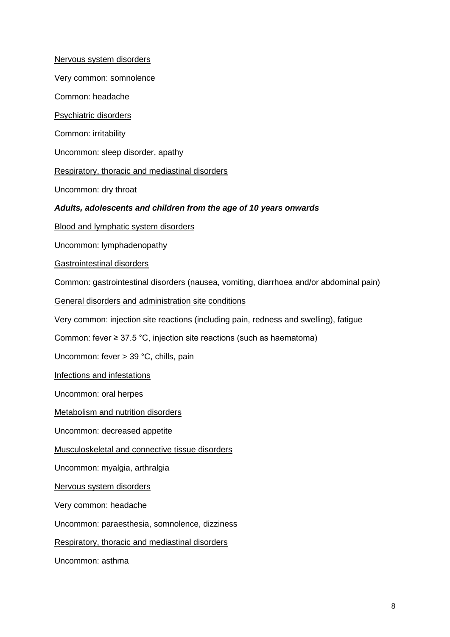Nervous system disorders

Very common: somnolence

Common: headache

Psychiatric disorders

Common: irritability

Uncommon: sleep disorder, apathy

Respiratory, thoracic and mediastinal disorders

Uncommon: dry throat

#### *Adults, adolescents and children from the age of 10 years onwards*

Blood and lymphatic system disorders

Uncommon: lymphadenopathy

Gastrointestinal disorders

Common: gastrointestinal disorders (nausea, vomiting, diarrhoea and/or abdominal pain)

General disorders and administration site conditions

Very common: injection site reactions (including pain, redness and swelling), fatigue

Common: fever ≥ 37.5 °C, injection site reactions (such as haematoma)

Uncommon: fever > 39 °C, chills, pain

Infections and infestations

Uncommon: oral herpes

Metabolism and nutrition disorders

Uncommon: decreased appetite

Musculoskeletal and connective tissue disorders

Uncommon: myalgia, arthralgia

Nervous system disorders

Very common: headache

Uncommon: paraesthesia, somnolence, dizziness

Respiratory, thoracic and mediastinal disorders

Uncommon: asthma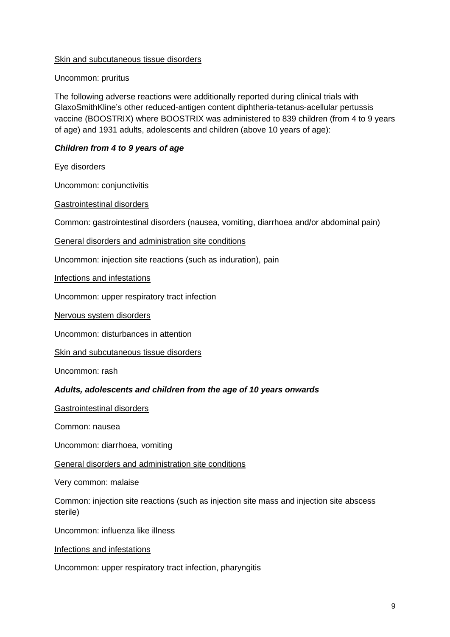#### Skin and subcutaneous tissue disorders

#### Uncommon: pruritus

The following adverse reactions were additionally reported during clinical trials with GlaxoSmithKline's other reduced-antigen content diphtheria-tetanus-acellular pertussis vaccine (BOOSTRIX) where BOOSTRIX was administered to 839 children (from 4 to 9 years of age) and 1931 adults, adolescents and children (above 10 years of age):

### *Children from 4 to 9 years of age*

#### Eye disorders

Uncommon: conjunctivitis

#### Gastrointestinal disorders

Common: gastrointestinal disorders (nausea, vomiting, diarrhoea and/or abdominal pain)

General disorders and administration site conditions

Uncommon: injection site reactions (such as induration), pain

Infections and infestations

Uncommon: upper respiratory tract infection

Nervous system disorders

Uncommon: disturbances in attention

Skin and subcutaneous tissue disorders

Uncommon: rash

#### *Adults, adolescents and children from the age of 10 years onwards*

Gastrointestinal disorders

Common: nausea

Uncommon: diarrhoea, vomiting

General disorders and administration site conditions

Very common: malaise

Common: injection site reactions (such as injection site mass and injection site abscess sterile)

Uncommon: influenza like illness

Infections and infestations

Uncommon: upper respiratory tract infection, pharyngitis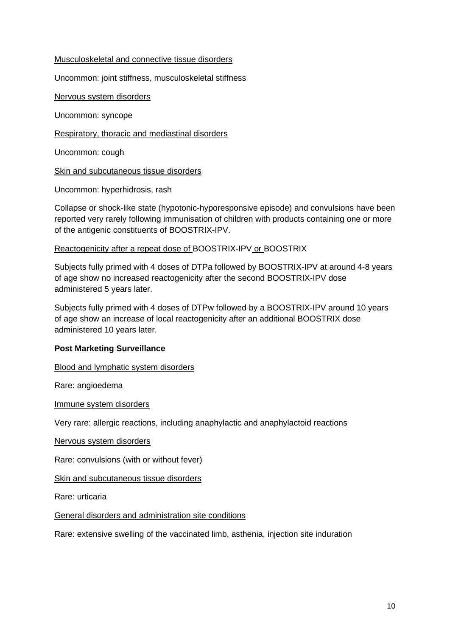#### Musculoskeletal and connective tissue disorders

Uncommon: joint stiffness, musculoskeletal stiffness

Nervous system disorders

Uncommon: syncope

Respiratory, thoracic and mediastinal disorders

Uncommon: cough

Skin and subcutaneous tissue disorders

Uncommon: hyperhidrosis, rash

Collapse or shock-like state (hypotonic-hyporesponsive episode) and convulsions have been reported very rarely following immunisation of children with products containing one or more of the antigenic constituents of BOOSTRIX-IPV.

#### Reactogenicity after a repeat dose of BOOSTRIX-IPV or BOOSTRIX

Subjects fully primed with 4 doses of DTPa followed by BOOSTRIX-IPV at around 4-8 years of age show no increased reactogenicity after the second BOOSTRIX-IPV dose administered 5 years later.

Subjects fully primed with 4 doses of DTPw followed by a BOOSTRIX-IPV around 10 years of age show an increase of local reactogenicity after an additional BOOSTRIX dose administered 10 years later.

#### **Post Marketing Surveillance**

Blood and lymphatic system disorders

Rare: angioedema

Immune system disorders

Very rare: allergic reactions, including anaphylactic and anaphylactoid reactions

Nervous system disorders

Rare: convulsions (with or without fever)

Skin and subcutaneous tissue disorders

Rare: urticaria

General disorders and administration site conditions

Rare: extensive swelling of the vaccinated limb, asthenia, injection site induration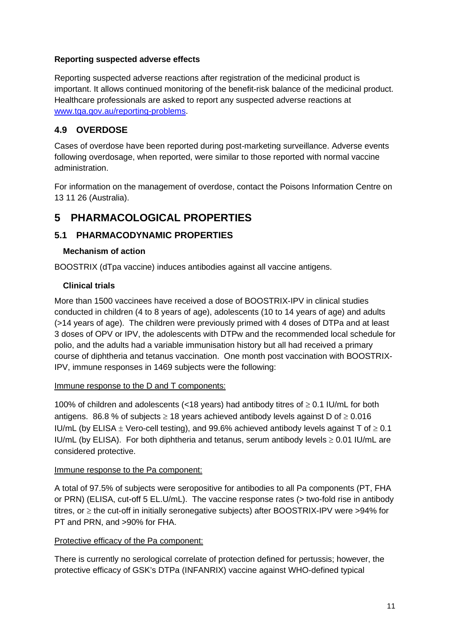#### **Reporting suspected adverse effects**

Reporting suspected adverse reactions after registration of the medicinal product is important. It allows continued monitoring of the benefit-risk balance of the medicinal product. Healthcare professionals are asked to report any suspected adverse reactions at [www.tga.gov.au/reporting-problems.](http://www.tga.gov.au/reporting-problems)

## **4.9 OVERDOSE**

Cases of overdose have been reported during post-marketing surveillance. Adverse events following overdosage, when reported, were similar to those reported with normal vaccine administration.

For information on the management of overdose, contact the Poisons Information Centre on 13 11 26 (Australia).

## **5 PHARMACOLOGICAL PROPERTIES**

### **5.1 PHARMACODYNAMIC PROPERTIES**

#### **Mechanism of action**

BOOSTRIX (dTpa vaccine) induces antibodies against all vaccine antigens.

#### **Clinical trials**

More than 1500 vaccinees have received a dose of BOOSTRIX-IPV in clinical studies conducted in children (4 to 8 years of age), adolescents (10 to 14 years of age) and adults (>14 years of age). The children were previously primed with 4 doses of DTPa and at least 3 doses of OPV or IPV, the adolescents with DTPw and the recommended local schedule for polio, and the adults had a variable immunisation history but all had received a primary course of diphtheria and tetanus vaccination. One month post vaccination with BOOSTRIX-IPV, immune responses in 1469 subjects were the following:

#### Immune response to the D and T components:

100% of children and adolescents (<18 years) had antibody titres of  $\geq$  0.1 IU/mL for both antigens. 86.8 % of subjects  $\geq$  18 years achieved antibody levels against D of  $\geq$  0.016 IU/mL (by ELISA  $\pm$  Vero-cell testing), and 99.6% achieved antibody levels against T of  $\geq$  0.1 IU/mL (by ELISA). For both diphtheria and tetanus, serum antibody levels  $\geq 0.01$  IU/mL are considered protective.

#### Immune response to the Pa component:

A total of 97.5% of subjects were seropositive for antibodies to all Pa components (PT, FHA or PRN) (ELISA, cut-off 5 EL.U/mL). The vaccine response rates (> two-fold rise in antibody titres, or ≥ the cut-off in initially seronegative subjects) after BOOSTRIX-IPV were >94% for PT and PRN, and >90% for FHA.

#### Protective efficacy of the Pa component:

There is currently no serological correlate of protection defined for pertussis; however, the protective efficacy of GSK's DTPa (INFANRIX) vaccine against WHO-defined typical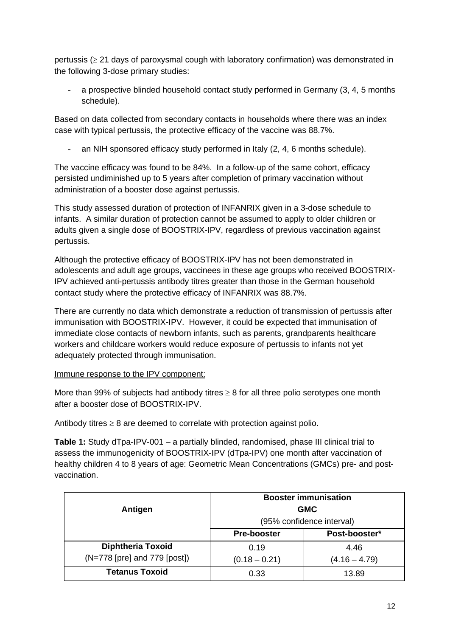pertussis ( $\geq$  21 days of paroxysmal cough with laboratory confirmation) was demonstrated in the following 3-dose primary studies:

a prospective blinded household contact study performed in Germany (3, 4, 5 months schedule).

Based on data collected from secondary contacts in households where there was an index case with typical pertussis, the protective efficacy of the vaccine was 88.7%.

an NIH sponsored efficacy study performed in Italy (2, 4, 6 months schedule).

The vaccine efficacy was found to be 84%. In a follow-up of the same cohort, efficacy persisted undiminished up to 5 years after completion of primary vaccination without administration of a booster dose against pertussis.

This study assessed duration of protection of INFANRIX given in a 3-dose schedule to infants. A similar duration of protection cannot be assumed to apply to older children or adults given a single dose of BOOSTRIX-IPV, regardless of previous vaccination against pertussis.

Although the protective efficacy of BOOSTRIX-IPV has not been demonstrated in adolescents and adult age groups, vaccinees in these age groups who received BOOSTRIX-IPV achieved anti-pertussis antibody titres greater than those in the German household contact study where the protective efficacy of INFANRIX was 88.7%.

There are currently no data which demonstrate a reduction of transmission of pertussis after immunisation with BOOSTRIX-IPV. However, it could be expected that immunisation of immediate close contacts of newborn infants, such as parents, grandparents healthcare workers and childcare workers would reduce exposure of pertussis to infants not yet adequately protected through immunisation.

#### Immune response to the IPV component:

More than 99% of subjects had antibody titres  $\geq 8$  for all three polio serotypes one month after a booster dose of BOOSTRIX-IPV.

Antibody titres  $\geq 8$  are deemed to correlate with protection against polio.

**Table 1:** Study dTpa-IPV-001 – a partially blinded, randomised, phase III clinical trial to assess the immunogenicity of BOOSTRIX-IPV (dTpa-IPV) one month after vaccination of healthy children 4 to 8 years of age: Geometric Mean Concentrations (GMCs) pre- and postvaccination.

| Antigen                                                  | <b>Booster immunisation</b><br><b>GMC</b><br>(95% confidence interval) |                         |
|----------------------------------------------------------|------------------------------------------------------------------------|-------------------------|
|                                                          | <b>Pre-booster</b>                                                     | Post-booster*           |
| <b>Diphtheria Toxoid</b><br>(N=778 [pre] and 779 [post]) | 0.19<br>$(0.18 - 0.21)$                                                | 4.46<br>$(4.16 - 4.79)$ |
| <b>Tetanus Toxoid</b>                                    | 0.33                                                                   | 13.89                   |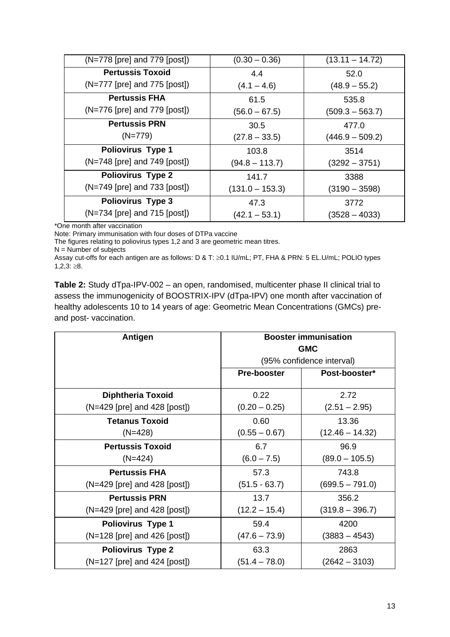| $(N=778$ [pre] and $779$ [post]) | $(0.30 - 0.36)$   | $(13.11 - 14.72)$ |
|----------------------------------|-------------------|-------------------|
| <b>Pertussis Toxoid</b>          | 4.4               | 52.0              |
| $(N=777$ [pre] and $775$ [post]) | $(4.1 - 4.6)$     | $(48.9 - 55.2)$   |
| <b>Pertussis FHA</b>             | 61.5              | 535.8             |
| $(N=776$ [pre] and $779$ [post]) | $(56.0 - 67.5)$   | $(509.3 - 563.7)$ |
| <b>Pertussis PRN</b>             | 30.5              | 477.0             |
| $(N=779)$                        | $(27.8 - 33.5)$   | $(446.9 - 509.2)$ |
| <b>Poliovirus Type 1</b>         | 103.8             | 3514              |
| (N=748 [pre] and 749 [post])     | $(94.8 - 113.7)$  | $(3292 - 3751)$   |
| <b>Poliovirus Type 2</b>         | 141.7             | 3388              |
| $(N=749$ [pre] and 733 [post])   | $(131.0 - 153.3)$ | $(3190 - 3598)$   |
| <b>Poliovirus Type 3</b>         | 47.3              | 3772              |
| $(N=734$ [pre] and $715$ [post]) | $(42.1 - 53.1)$   | (3528 – 4033)     |

\*One month after vaccination

Note: Primary immunisation with four doses of DTPa vaccine

The figures relating to poliovirus types 1,2 and 3 are geometric mean titres.

 $N =$  Number of subjects

Assay cut-offs for each antigen are as follows: D & T: ≥0.1 IU/mL; PT, FHA & PRN: 5 EL.U/mL; POLIO types  $1,2,3:≥8.$ 

**Table 2:** Study dTpa-IPV-002 – an open, randomised, multicenter phase II clinical trial to assess the immunogenicity of BOOSTRIX-IPV (dTpa-IPV) one month after vaccination of healthy adolescents 10 to 14 years of age: Geometric Mean Concentrations (GMCs) preand post- vaccination.

| <b>Antigen</b>                 | <b>Booster immunisation</b><br><b>GMC</b> |                           |
|--------------------------------|-------------------------------------------|---------------------------|
|                                |                                           | (95% confidence interval) |
|                                | <b>Pre-booster</b>                        | Post-booster*             |
| <b>Diphtheria Toxoid</b>       | 0.22                                      | 2.72                      |
| $(N=429$ [pre] and 428 [post]) | $(0.20 - 0.25)$                           | $(2.51 - 2.95)$           |
| <b>Tetanus Toxoid</b>          | 0.60                                      | 13.36                     |
| $(N=428)$                      | $(0.55 - 0.67)$                           | $(12.46 - 14.32)$         |
| <b>Pertussis Toxoid</b>        | 6.7                                       | 96.9                      |
| $(N=424)$                      | $(6.0 - 7.5)$                             | $(89.0 - 105.5)$          |
| <b>Pertussis FHA</b>           | 57.3                                      | 743.8                     |
| (N=429 [pre] and 428 [post])   | $(51.5 - 63.7)$                           | $(699.5 - 791.0)$         |
| <b>Pertussis PRN</b>           | 13.7                                      | 356.2                     |
| (N=429 [pre] and 428 [post])   | (12.2 – 15.4)                             | $(319.8 - 396.7)$         |
| <b>Poliovirus Type 1</b>       | 59.4                                      | 4200                      |
| $(N=128$ [pre] and 426 [post]) | $(47.6 - 73.9)$                           | $(3883 - 4543)$           |
| <b>Poliovirus Type 2</b>       | 63.3                                      | 2863                      |
| $(N=127$ [pre] and 424 [post]) | $(51.4 - 78.0)$                           | $(2642 - 3103)$           |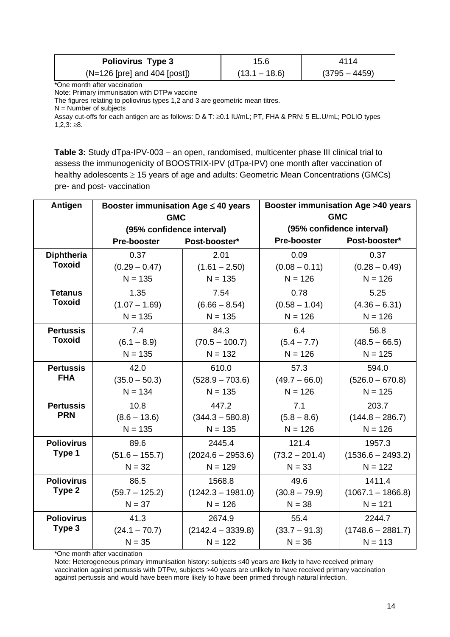| <b>Poliovirus Type 3</b>       | 15.6            | 4114            |
|--------------------------------|-----------------|-----------------|
| $(N=126$ [pre] and 404 [post]) | $(13.1 - 18.6)$ | $(3795 - 4459)$ |

\*One month after vaccination

Note: Primary immunisation with DTPw vaccine

The figures relating to poliovirus types 1,2 and 3 are geometric mean titres.

 $N =$  Number of subjects

Assay cut-offs for each antigen are as follows: D & T: ≥0.1 IU/mL; PT, FHA & PRN: 5 EL.U/mL; POLIO types  $1,2,3:≥8.$ 

**Table 3:** Study dTpa-IPV-003 – an open, randomised, multicenter phase III clinical trial to assess the immunogenicity of BOOSTRIX-IPV (dTpa-IPV) one month after vaccination of healthy adolescents ≥ 15 years of age and adults: Geometric Mean Concentrations (GMCs) pre- and post- vaccination

| Antigen           | Booster immunisation Age $\leq 40$ years |                     | <b>Booster immunisation Age &gt;40 years</b> |                     |
|-------------------|------------------------------------------|---------------------|----------------------------------------------|---------------------|
|                   | <b>GMC</b>                               |                     | <b>GMC</b>                                   |                     |
|                   | (95% confidence interval)                |                     | (95% confidence interval)                    |                     |
|                   | Pre-booster                              | Post-booster*       | Pre-booster                                  | Post-booster*       |
| <b>Diphtheria</b> | 0.37                                     | 2.01                | 0.09                                         | 0.37                |
| <b>Toxoid</b>     | $(0.29 - 0.47)$                          | $(1.61 - 2.50)$     | $(0.08 - 0.11)$                              | $(0.28 - 0.49)$     |
|                   | $N = 135$                                | $N = 135$           | $N = 126$                                    | $N = 126$           |
| <b>Tetanus</b>    | 1.35                                     | 7.54                | 0.78                                         | 5.25                |
| <b>Toxoid</b>     | $(1.07 - 1.69)$                          | $(6.66 - 8.54)$     | $(0.58 - 1.04)$                              | $(4.36 - 6.31)$     |
|                   | $N = 135$                                | $N = 135$           | $N = 126$                                    | $N = 126$           |
| <b>Pertussis</b>  | 7.4                                      | 84.3                | 6.4                                          | 56.8                |
| <b>Toxoid</b>     | $(6.1 - 8.9)$                            | $(70.5 - 100.7)$    | $(5.4 - 7.7)$                                | $(48.5 - 66.5)$     |
|                   | $N = 135$                                | $N = 132$           | $N = 126$                                    | $N = 125$           |
| <b>Pertussis</b>  | 42.0                                     | 610.0               | 57.3                                         | 594.0               |
| <b>FHA</b>        | $(35.0 - 50.3)$                          | $(528.9 - 703.6)$   | $(49.7 - 66.0)$                              | $(526.0 - 670.8)$   |
|                   | $N = 134$                                | $N = 135$           | $N = 126$                                    | $N = 125$           |
| <b>Pertussis</b>  | 10.8                                     | 447.2               | 7.1                                          | 203.7               |
| <b>PRN</b>        | $(8.6 - 13.6)$                           | $(344.3 - 580.8)$   | $(5.8 - 8.6)$                                | $(144.8 - 286.7)$   |
|                   | $N = 135$                                | $N = 135$           | $N = 126$                                    | $N = 126$           |
| <b>Poliovirus</b> | 89.6                                     | 2445.4              | 121.4                                        | 1957.3              |
| Type 1            | $(51.6 - 155.7)$                         | $(2024.6 - 2953.6)$ | $(73.2 - 201.4)$                             | $(1536.6 - 2493.2)$ |
|                   | $N = 32$                                 | $N = 129$           | $N = 33$                                     | $N = 122$           |
| <b>Poliovirus</b> | 86.5                                     | 1568.8              | 49.6                                         | 1411.4              |
| Type 2            | $(59.7 - 125.2)$                         | $(1242.3 - 1981.0)$ | $(30.8 - 79.9)$                              | $(1067.1 - 1866.8)$ |
|                   | $N = 37$                                 | $N = 126$           | $N = 38$                                     | $N = 121$           |
| <b>Poliovirus</b> | 41.3                                     | 2674.9              | 55.4                                         | 2244.7              |
| Type 3            | $(24.1 - 70.7)$                          | $(2142.4 - 3339.8)$ | $(33.7 - 91.3)$                              | $(1748.6 - 2881.7)$ |
|                   | $N = 35$                                 | $N = 122$           | $N = 36$                                     | $N = 113$           |

\*One month after vaccination

Note: Heterogeneous primary immunisation history: subjects ≤40 years are likely to have received primary vaccination against pertussis with DTPw, subjects >40 years are unlikely to have received primary vaccination against pertussis and would have been more likely to have been primed through natural infection.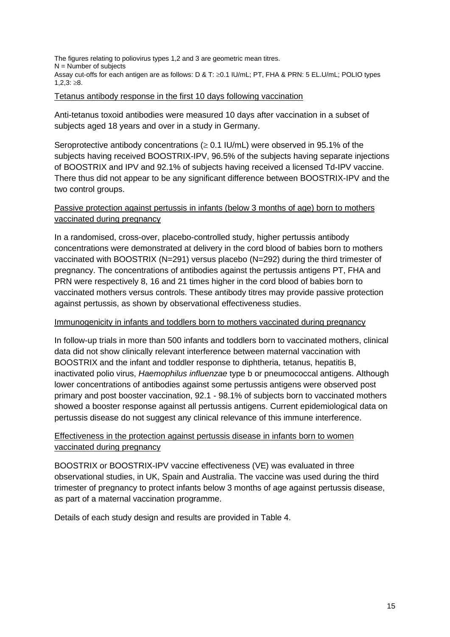The figures relating to poliovirus types 1,2 and 3 are geometric mean titres.  $N =$  Number of subjects Assay cut-offs for each antigen are as follows: D & T: ≥0.1 IU/mL; PT, FHA & PRN: 5 EL.U/mL; POLIO types  $1,2,3$ : ≥8.

#### Tetanus antibody response in the first 10 days following vaccination

Anti-tetanus toxoid antibodies were measured 10 days after vaccination in a subset of subjects aged 18 years and over in a study in Germany.

Seroprotective antibody concentrations ( $\geq$  0.1 IU/mL) were observed in 95.1% of the subjects having received BOOSTRIX-IPV, 96.5% of the subjects having separate injections of BOOSTRIX and IPV and 92.1% of subjects having received a licensed Td-IPV vaccine. There thus did not appear to be any significant difference between BOOSTRIX-IPV and the two control groups.

### Passive protection against pertussis in infants (below 3 months of age) born to mothers vaccinated during pregnancy

In a randomised, cross-over, placebo-controlled study, higher pertussis antibody concentrations were demonstrated at delivery in the cord blood of babies born to mothers vaccinated with BOOSTRIX (N=291) versus placebo (N=292) during the third trimester of pregnancy. The concentrations of antibodies against the pertussis antigens PT, FHA and PRN were respectively 8, 16 and 21 times higher in the cord blood of babies born to vaccinated mothers versus controls. These antibody titres may provide passive protection against pertussis, as shown by observational effectiveness studies.

#### Immunogenicity in infants and toddlers born to mothers vaccinated during pregnancy

In follow-up trials in more than 500 infants and toddlers born to vaccinated mothers, clinical data did not show clinically relevant interference between maternal vaccination with BOOSTRIX and the infant and toddler response to diphtheria, tetanus, hepatitis B, inactivated polio virus, *Haemophilus influenzae* type b or pneumococcal antigens. Although lower concentrations of antibodies against some pertussis antigens were observed post primary and post booster vaccination, 92.1 - 98.1% of subjects born to vaccinated mothers showed a booster response against all pertussis antigens. Current epidemiological data on pertussis disease do not suggest any clinical relevance of this immune interference.

### Effectiveness in the protection against pertussis disease in infants born to women vaccinated during pregnancy

BOOSTRIX or BOOSTRIX-IPV vaccine effectiveness (VE) was evaluated in three observational studies, in UK, Spain and Australia. The vaccine was used during the third trimester of pregnancy to protect infants below 3 months of age against pertussis disease, as part of a maternal vaccination programme.

Details of each study design and results are provided in Table 4.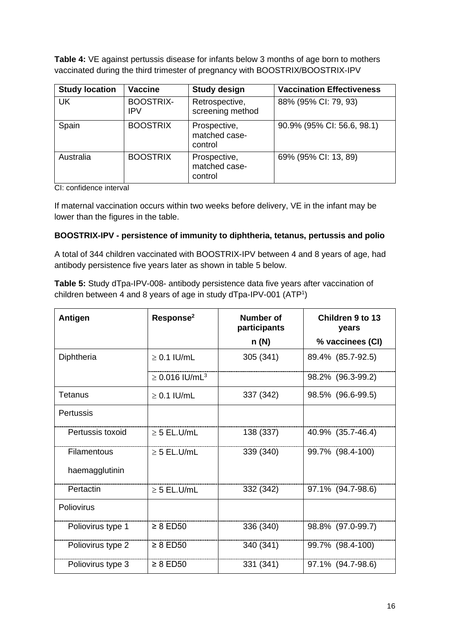**Table 4:** VE against pertussis disease for infants below 3 months of age born to mothers vaccinated during the third trimester of pregnancy with BOOSTRIX/BOOSTRIX-IPV

| <b>Study location</b> | <b>Vaccine</b>          | <b>Study design</b>                      | <b>Vaccination Effectiveness</b> |
|-----------------------|-------------------------|------------------------------------------|----------------------------------|
| <b>UK</b>             | <b>BOOSTRIX-</b><br>IPV | Retrospective,<br>screening method       | 88% (95% CI: 79, 93)             |
| Spain                 | <b>BOOSTRIX</b>         | Prospective,<br>matched case-<br>control | 90.9% (95% CI: 56.6, 98.1)       |
| Australia             | <b>BOOSTRIX</b>         | Prospective,<br>matched case-<br>control | 69% (95% CI: 13, 89)             |

CI: confidence interval

If maternal vaccination occurs within two weeks before delivery, VE in the infant may be lower than the figures in the table.

#### **BOOSTRIX-IPV - persistence of immunity to diphtheria, tetanus, pertussis and polio**

A total of 344 children vaccinated with BOOSTRIX-IPV between 4 and 8 years of age, had antibody persistence five years later as shown in table 5 below.

**Table 5:** Study dTpa-IPV-008- antibody persistence data five years after vaccination of children between 4 and 8 years of age in study dTpa-IPV-001 (ATP1 )

| Response <sup>2</sup><br><b>Antigen</b> |                                 | Number of<br>participants | Children 9 to 13<br>years |  |
|-----------------------------------------|---------------------------------|---------------------------|---------------------------|--|
|                                         |                                 | n (N)                     | % vaccinees (CI)          |  |
| Diphtheria                              | $\geq$ 0.1 IU/mL                | 305 (341)                 | 89.4% (85.7-92.5)         |  |
|                                         | $\geq 0.016$ IU/mL <sup>3</sup> |                           | 98.2% (96.3-99.2)         |  |
| Tetanus                                 | $\geq$ 0.1 IU/mL                | 337 (342)                 | 98.5% (96.6-99.5)         |  |
| Pertussis                               |                                 |                           |                           |  |
| Pertussis toxoid                        | $\geq$ 5 EL.U/mL                | 138 (337)                 | 40.9% (35.7-46.4)         |  |
| Filamentous                             | $\geq$ 5 EL.U/mL                | 339 (340)                 | 99.7% (98.4-100)          |  |
| haemagglutinin                          |                                 |                           |                           |  |
| Pertactin                               | $\geq$ 5 EL.U/mL                | 332 (342)                 | 97.1% (94.7-98.6)         |  |
| Poliovirus                              |                                 |                           |                           |  |
| Poliovirus type 1                       | $\geq 8$ ED50                   | 336 (340)                 | 98.8% (97.0-99.7)         |  |
| Poliovirus type 2                       | $\geq 8$ ED50                   | 340 (341)                 | 99.7% (98.4-100)          |  |
| Poliovirus type 3                       | $\geq 8$ ED50                   | 331 (341)                 | 97.1% (94.7-98.6)         |  |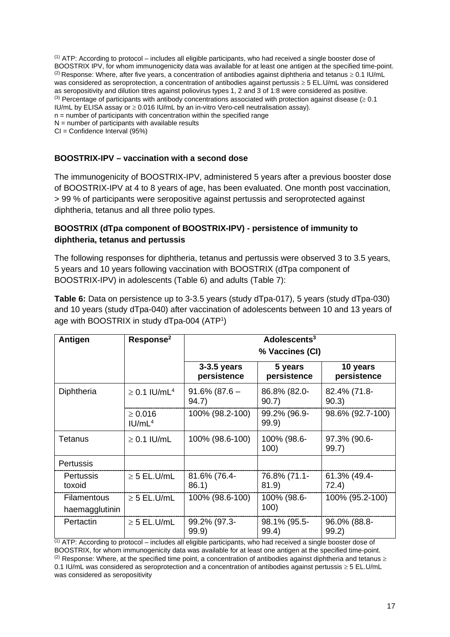(1) ATP: According to protocol – includes all eligible participants, who had received a single booster dose of BOOSTRIX IPV, for whom immunogenicity data was available for at least one antigen at the specified time-point. (2) Response: Where, after five years, a concentration of antibodies against diphtheria and tetanus  $\geq 0.1$  IU/mL was considered as seroprotection, a concentration of antibodies against pertussis ≥ 5 EL.U/mL was considered as seropositivity and dilution titres against poliovirus types 1, 2 and 3 of 1:8 were considered as positive. (3) Percentage of participants with antibody concentrations associated with protection against disease ( $\geq 0.1$ ) IU/mL by ELISA assay or ≥ 0.016 IU/mL by an in-vitro Vero-cell neutralisation assay).  $n =$  number of participants with concentration within the specified range  $N =$  number of participants with available results

CI = Confidence Interval (95%)

#### **BOOSTRIX-IPV – vaccination with a second dose**

The immunogenicity of BOOSTRIX-IPV, administered 5 years after a previous booster dose of BOOSTRIX-IPV at 4 to 8 years of age, has been evaluated. One month post vaccination, > 99 % of participants were seropositive against pertussis and seroprotected against diphtheria, tetanus and all three polio types.

#### **BOOSTRIX (dTpa component of BOOSTRIX-IPV) - persistence of immunity to diphtheria, tetanus and pertussis**

The following responses for diphtheria, tetanus and pertussis were observed 3 to 3.5 years, 5 years and 10 years following vaccination with BOOSTRIX (dTpa component of BOOSTRIX-IPV) in adolescents (Table 6) and adults (Table 7):

**Table 6:** Data on persistence up to 3-3.5 years (study dTpa-017), 5 years (study dTpa-030) and 10 years (study dTpa-040) after vaccination of adolescents between 10 and 13 years of age with BOOSTRIX in study dTpa-004 (ATP1 )

| Antigen                              | Response <sup>2</sup>               | Adolescents <sup>3</sup><br>% Vaccines (CI) |                        |                         |
|--------------------------------------|-------------------------------------|---------------------------------------------|------------------------|-------------------------|
|                                      |                                     | $3-3.5$ years<br>persistence                | 5 years<br>persistence | 10 years<br>persistence |
| Diphtheria                           | $\geq$ 0.1 IU/mL <sup>4</sup>       | $91.6\%$ (87.6 –<br>94.7)                   | 86.8% (82.0-<br>90.7)  | 82.4% (71.8-<br>90.3)   |
|                                      | $\geq 0.016$<br>IUI/mL <sup>4</sup> | 100% (98.2-100)                             | 99.2% (96.9-<br>99.9)  | 98.6% (92.7-100)        |
| Tetanus                              | $\geq$ 0.1 IU/mL                    | 100% (98.6-100)                             | 100% (98.6-<br>100)    | 97.3% (90.6-<br>99.7)   |
| <b>Pertussis</b>                     |                                     |                                             |                        |                         |
| Pertussis<br>toxoid                  | $\geq$ 5 EL.U/mL                    | 81.6% (76.4-<br>86.1)                       | 76.8% (71.1-<br>81.9)  | 61.3% (49.4-<br>72.4)   |
| <b>Filamentous</b><br>haemagglutinin | $\geq$ 5 EL.U/mL                    | 100% (98.6-100)                             | 100% (98.6-<br>100)    | 100% (95.2-100)         |
| Pertactin                            | $\geq$ 5 EL.U/mL                    | 99.2% (97.3-<br>99.9                        | 98.1% (95.5-<br>99.4)  | 96.0% (88.8-<br>99.2)   |

 $(1)$  ATP: According to protocol – includes all eligible participants, who had received a single booster dose of BOOSTRIX, for whom immunogenicity data was available for at least one antigen at the specified time-point. (2) Response: Where, at the specified time point, a concentration of antibodies against diphtheria and tetanus  $\geq$ 0.1 IU/mL was considered as seroprotection and a concentration of antibodies against pertussis ≥ 5 EL.U/mL was considered as seropositivity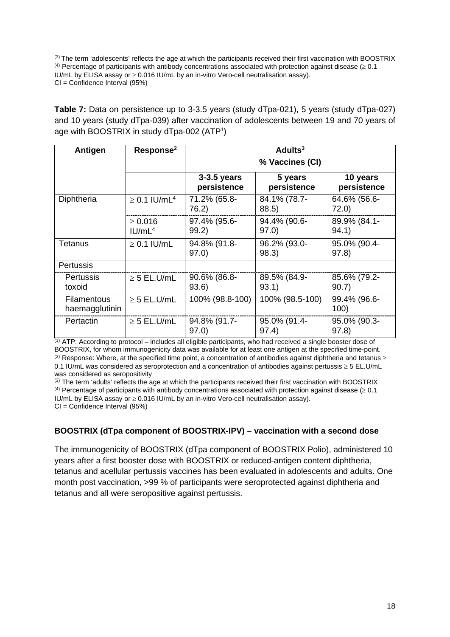(3) The term 'adolescents' reflects the age at which the participants received their first vaccination with BOOSTRIX <sup>(4)</sup> Percentage of participants with antibody concentrations associated with protection against disease ( $\geq 0.1$ ) IU/mL by ELISA assay or ≥ 0.016 IU/mL by an in-vitro Vero-cell neutralisation assay). CI = Confidence Interval (95%)

**Table 7:** Data on persistence up to 3-3.5 years (study dTpa-021), 5 years (study dTpa-027) and 10 years (study dTpa-039) after vaccination of adolescents between 19 and 70 years of age with BOOSTRIX in study dTpa-002 (ATP1 )

| Antigen                              | Response <sup>2</sup>               | Adults $3$<br>% Vaccines (CI) |                        |                         |
|--------------------------------------|-------------------------------------|-------------------------------|------------------------|-------------------------|
|                                      |                                     | $3-3.5$ years<br>persistence  | 5 years<br>persistence | 10 years<br>persistence |
| Diphtheria                           | $\geq$ 0.1 IU/mL <sup>4</sup>       | 71.2% (65.8-<br>76.2)         | 84.1% (78.7-<br>88.5   | 64.6% (56.6-<br>72.0)   |
|                                      | $\geq 0.016$<br>I U/mL <sup>4</sup> | 97.4% (95.6-<br>99.2)         | 94.4% (90.6-<br>97.0)  | 89.9% (84.1-<br>94.1)   |
| <b>Tetanus</b>                       | $\geq$ 0.1 IU/mL                    | 94.8% (91.8-<br>97.0          | 96.2% (93.0-<br>98.3)  | 95.0% (90.4-<br>97.8)   |
| <b>Pertussis</b>                     |                                     |                               |                        |                         |
| <b>Pertussis</b><br>toxoid           | $\geq$ 5 EL.U/mL                    | 90.6% (86.8-<br>93.6)         | 89.5% (84.9-<br>93.1)  | 85.6% (79.2-<br>90.7)   |
| <b>Filamentous</b><br>haemagglutinin | $\geq$ 5 EL.U/mL                    | 100% (98.8-100)               | 100% (98.5-100)        | 99.4% (96.6-<br>100)    |
| Pertactin                            | $\geq$ 5 EL.U/mL                    | 94.8% (91.7-<br>97.0)         | 95.0% (91.4-<br>97.4)  | 95.0% (90.3-<br>97.8)   |

 $(1)$  ATP: According to protocol – includes all eligible participants, who had received a single booster dose of BOOSTRIX, for whom immunogenicity data was available for at least one antigen at the specified time-point. (2) Response: Where, at the specified time point, a concentration of antibodies against diphtheria and tetanus  $\geq$ 0.1 IU/mL was considered as seroprotection and a concentration of antibodies against pertussis ≥ 5 EL.U/mL was considered as seropositivity

(3) The term 'adults' reflects the age at which the participants received their first vaccination with BOOSTRIX  $(4)$  Percentage of participants with antibody concentrations associated with protection against disease ( $\geq 0.1$ ) IU/mL by ELISA assay or ≥ 0.016 IU/mL by an in-vitro Vero-cell neutralisation assay). CI = Confidence Interval (95%)

#### **BOOSTRIX (dTpa component of BOOSTRIX-IPV) – vaccination with a second dose**

The immunogenicity of BOOSTRIX (dTpa component of BOOSTRIX Polio), administered 10 years after a first booster dose with BOOSTRIX or reduced-antigen content diphtheria, tetanus and acellular pertussis vaccines has been evaluated in adolescents and adults. One month post vaccination, >99 % of participants were seroprotected against diphtheria and tetanus and all were seropositive against pertussis.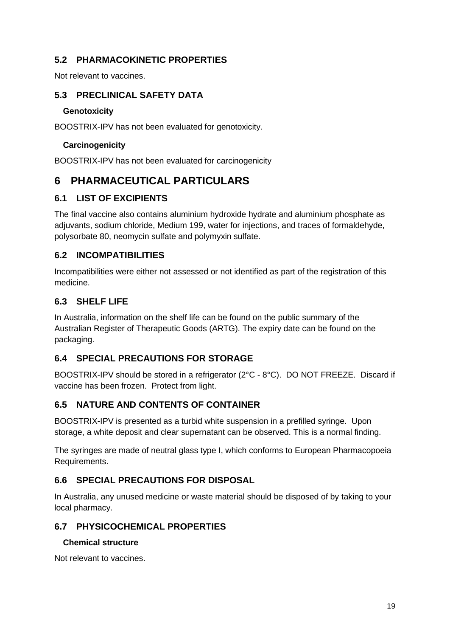## **5.2 PHARMACOKINETIC PROPERTIES**

Not relevant to vaccines.

## **5.3 PRECLINICAL SAFETY DATA**

#### **Genotoxicity**

BOOSTRIX-IPV has not been evaluated for genotoxicity.

#### **Carcinogenicity**

BOOSTRIX-IPV has not been evaluated for carcinogenicity

## **6 PHARMACEUTICAL PARTICULARS**

#### **6.1 LIST OF EXCIPIENTS**

The final vaccine also contains aluminium hydroxide hydrate and aluminium phosphate as adjuvants, sodium chloride, Medium 199, water for injections, and traces of formaldehyde, polysorbate 80, neomycin sulfate and polymyxin sulfate.

## **6.2 INCOMPATIBILITIES**

Incompatibilities were either not assessed or not identified as part of the registration of this medicine.

### **6.3 SHELF LIFE**

In Australia, information on the shelf life can be found on the public summary of the Australian Register of Therapeutic Goods (ARTG). The expiry date can be found on the packaging.

## **6.4 SPECIAL PRECAUTIONS FOR STORAGE**

BOOSTRIX-IPV should be stored in a refrigerator (2°C - 8°C). DO NOT FREEZE. Discard if vaccine has been frozen. Protect from light.

## **6.5 NATURE AND CONTENTS OF CONTAINER**

BOOSTRIX-IPV is presented as a turbid white suspension in a prefilled syringe. Upon storage, a white deposit and clear supernatant can be observed. This is a normal finding.

The syringes are made of neutral glass type I, which conforms to European Pharmacopoeia Requirements.

## **6.6 SPECIAL PRECAUTIONS FOR DISPOSAL**

In Australia, any unused medicine or waste material should be disposed of by taking to your local pharmacy.

## **6.7 PHYSICOCHEMICAL PROPERTIES**

#### **Chemical structure**

Not relevant to vaccines.